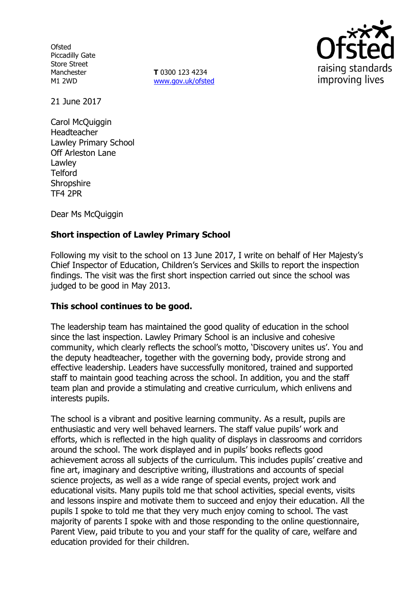**Ofsted** Piccadilly Gate Store Street Manchester M1 2WD

**T** 0300 123 4234 www.gov.uk/ofsted



21 June 2017

Carol McQuiggin Headteacher Lawley Primary School Off Arleston Lane Lawley **Telford Shropshire** TF4 2PR

Dear Ms McQuiggin

# **Short inspection of Lawley Primary School**

Following my visit to the school on 13 June 2017, I write on behalf of Her Majesty's Chief Inspector of Education, Children's Services and Skills to report the inspection findings. The visit was the first short inspection carried out since the school was judged to be good in May 2013.

# **This school continues to be good.**

The leadership team has maintained the good quality of education in the school since the last inspection. Lawley Primary School is an inclusive and cohesive community, which clearly reflects the school's motto, 'Discovery unites us'. You and the deputy headteacher, together with the governing body, provide strong and effective leadership. Leaders have successfully monitored, trained and supported staff to maintain good teaching across the school. In addition, you and the staff team plan and provide a stimulating and creative curriculum, which enlivens and interests pupils.

The school is a vibrant and positive learning community. As a result, pupils are enthusiastic and very well behaved learners. The staff value pupils' work and efforts, which is reflected in the high quality of displays in classrooms and corridors around the school. The work displayed and in pupils' books reflects good achievement across all subjects of the curriculum. This includes pupils' creative and fine art, imaginary and descriptive writing, illustrations and accounts of special science projects, as well as a wide range of special events, project work and educational visits. Many pupils told me that school activities, special events, visits and lessons inspire and motivate them to succeed and enjoy their education. All the pupils I spoke to told me that they very much enjoy coming to school. The vast majority of parents I spoke with and those responding to the online questionnaire, Parent View, paid tribute to you and your staff for the quality of care, welfare and education provided for their children.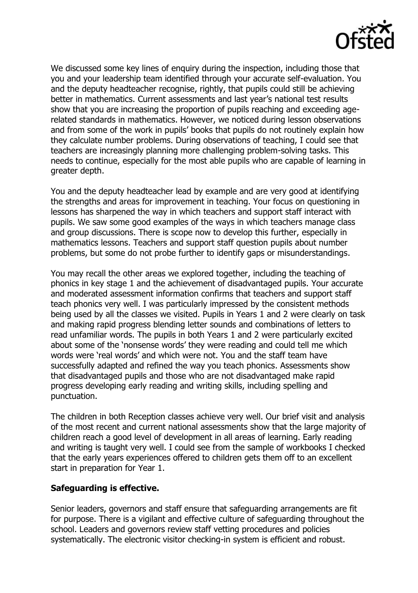

We discussed some key lines of enquiry during the inspection, including those that you and your leadership team identified through your accurate self-evaluation. You and the deputy headteacher recognise, rightly, that pupils could still be achieving better in mathematics. Current assessments and last year's national test results show that you are increasing the proportion of pupils reaching and exceeding agerelated standards in mathematics. However, we noticed during lesson observations and from some of the work in pupils' books that pupils do not routinely explain how they calculate number problems. During observations of teaching, I could see that teachers are increasingly planning more challenging problem-solving tasks. This needs to continue, especially for the most able pupils who are capable of learning in greater depth.

You and the deputy headteacher lead by example and are very good at identifying the strengths and areas for improvement in teaching. Your focus on questioning in lessons has sharpened the way in which teachers and support staff interact with pupils. We saw some good examples of the ways in which teachers manage class and group discussions. There is scope now to develop this further, especially in mathematics lessons. Teachers and support staff question pupils about number problems, but some do not probe further to identify gaps or misunderstandings.

You may recall the other areas we explored together, including the teaching of phonics in key stage 1 and the achievement of disadvantaged pupils. Your accurate and moderated assessment information confirms that teachers and support staff teach phonics very well. I was particularly impressed by the consistent methods being used by all the classes we visited. Pupils in Years 1 and 2 were clearly on task and making rapid progress blending letter sounds and combinations of letters to read unfamiliar words. The pupils in both Years 1 and 2 were particularly excited about some of the 'nonsense words' they were reading and could tell me which words were 'real words' and which were not. You and the staff team have successfully adapted and refined the way you teach phonics. Assessments show that disadvantaged pupils and those who are not disadvantaged make rapid progress developing early reading and writing skills, including spelling and punctuation.

The children in both Reception classes achieve very well. Our brief visit and analysis of the most recent and current national assessments show that the large majority of children reach a good level of development in all areas of learning. Early reading and writing is taught very well. I could see from the sample of workbooks I checked that the early years experiences offered to children gets them off to an excellent start in preparation for Year 1.

#### **Safeguarding is effective.**

Senior leaders, governors and staff ensure that safeguarding arrangements are fit for purpose. There is a vigilant and effective culture of safeguarding throughout the school. Leaders and governors review staff vetting procedures and policies systematically. The electronic visitor checking-in system is efficient and robust.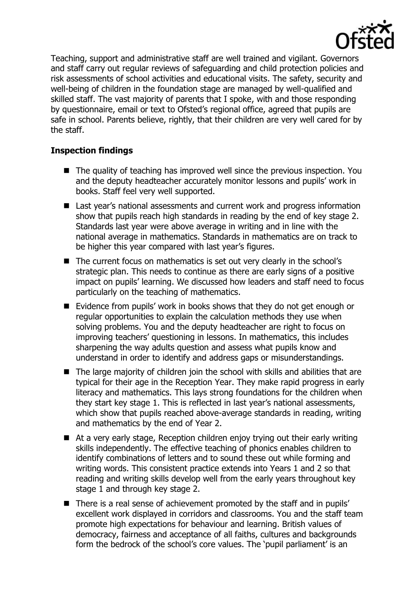

Teaching, support and administrative staff are well trained and vigilant. Governors and staff carry out regular reviews of safeguarding and child protection policies and risk assessments of school activities and educational visits. The safety, security and well-being of children in the foundation stage are managed by well-qualified and skilled staff. The vast majority of parents that I spoke, with and those responding by questionnaire, email or text to Ofsted's regional office, agreed that pupils are safe in school. Parents believe, rightly, that their children are very well cared for by the staff.

## **Inspection findings**

- The quality of teaching has improved well since the previous inspection. You and the deputy headteacher accurately monitor lessons and pupils' work in books. Staff feel very well supported.
- Last year's national assessments and current work and progress information show that pupils reach high standards in reading by the end of key stage 2. Standards last year were above average in writing and in line with the national average in mathematics. Standards in mathematics are on track to be higher this year compared with last year's figures.
- The current focus on mathematics is set out very clearly in the school's strategic plan. This needs to continue as there are early signs of a positive impact on pupils' learning. We discussed how leaders and staff need to focus particularly on the teaching of mathematics.
- Evidence from pupils' work in books shows that they do not get enough or regular opportunities to explain the calculation methods they use when solving problems. You and the deputy headteacher are right to focus on improving teachers' questioning in lessons. In mathematics, this includes sharpening the way adults question and assess what pupils know and understand in order to identify and address gaps or misunderstandings.
- The large majority of children join the school with skills and abilities that are typical for their age in the Reception Year. They make rapid progress in early literacy and mathematics. This lays strong foundations for the children when they start key stage 1. This is reflected in last year's national assessments, which show that pupils reached above-average standards in reading, writing and mathematics by the end of Year 2.
- At a very early stage, Reception children enjoy trying out their early writing skills independently. The effective teaching of phonics enables children to identify combinations of letters and to sound these out while forming and writing words. This consistent practice extends into Years 1 and 2 so that reading and writing skills develop well from the early years throughout key stage 1 and through key stage 2.
- There is a real sense of achievement promoted by the staff and in pupils' excellent work displayed in corridors and classrooms. You and the staff team promote high expectations for behaviour and learning. British values of democracy, fairness and acceptance of all faiths, cultures and backgrounds form the bedrock of the school's core values. The 'pupil parliament' is an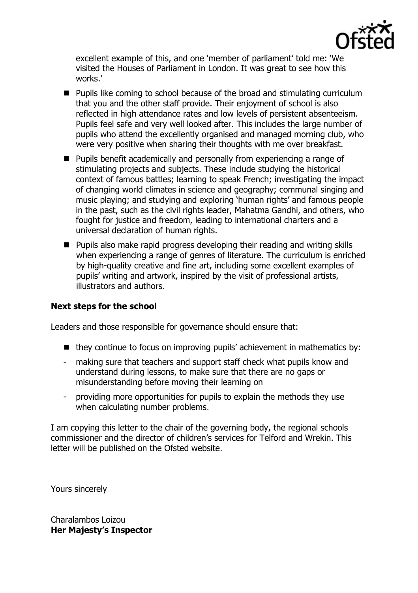

excellent example of this, and one 'member of parliament' told me: 'We visited the Houses of Parliament in London. It was great to see how this works.'

- Pupils like coming to school because of the broad and stimulating curriculum that you and the other staff provide. Their enjoyment of school is also reflected in high attendance rates and low levels of persistent absenteeism. Pupils feel safe and very well looked after. This includes the large number of pupils who attend the excellently organised and managed morning club, who were very positive when sharing their thoughts with me over breakfast.
- **Pupils benefit academically and personally from experiencing a range of** stimulating projects and subjects. These include studying the historical context of famous battles; learning to speak French; investigating the impact of changing world climates in science and geography; communal singing and music playing; and studying and exploring 'human rights' and famous people in the past, such as the civil rights leader, Mahatma Gandhi, and others, who fought for justice and freedom, leading to international charters and a universal declaration of human rights.
- **Pupils also make rapid progress developing their reading and writing skills** when experiencing a range of genres of literature. The curriculum is enriched by high-quality creative and fine art, including some excellent examples of pupils' writing and artwork, inspired by the visit of professional artists, illustrators and authors.

### **Next steps for the school**

Leaders and those responsible for governance should ensure that:

- $\blacksquare$  they continue to focus on improving pupils' achievement in mathematics by:
- making sure that teachers and support staff check what pupils know and understand during lessons, to make sure that there are no gaps or misunderstanding before moving their learning on
- providing more opportunities for pupils to explain the methods they use when calculating number problems.

I am copying this letter to the chair of the governing body, the regional schools commissioner and the director of children's services for Telford and Wrekin. This letter will be published on the Ofsted website.

Yours sincerely

Charalambos Loizou **Her Majesty's Inspector**